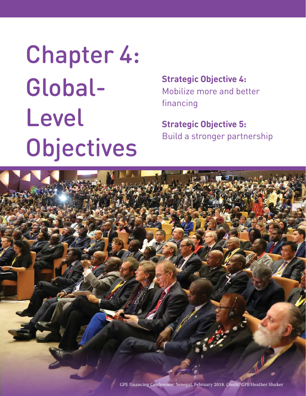# Chapter 4: Global-Level Objectives

**Strategic Objective 4:**  Mobilize more and better financing

**Strategic Objective 5:**  Build a stronger partnership

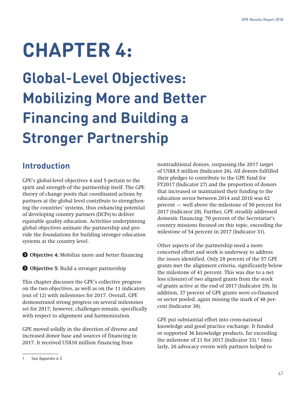# **CHAPTER 4:**

**Global-Level Objectives: Mobilizing More and Better Financing and Building a Stronger Partnership**

# **Introduction**

GPE's global-level objectives 4 and 5 pertain to the spirit and strength of the partnership itself. The GPE theory of change posits that coordinated actions by partners at the global level contribute to strengthening the countries' systems, thus enhancing potential of developing country partners (DCPs) to deliver equitable quality education. Activities underpinning global objectives animate the partnership and provide the foundations for building stronger education systems at the country level.

**O** Objective 4: Mobilize more and better financing

**O** Objective 5: Build a stronger partnership

This chapter discusses the GPE's collective progress on the two objectives, as well as on the 11 indicators (out of 12) with milestones for 2017. Overall, GPE demonstrated strong progress on several milestones set for 2017; however, challenges remain, specifically with respect to alignment and harmonization.

GPE moved solidly in the direction of diverse and increased donor base and sources of financing in 2017. It received US\$10 million financing from

nontraditional donors, surpassing the 2017 target of US\$8.5 million (Indicator 26). All donors fulfilled their pledges to contribute to the GPE fund for FY2017 (Indicator 27) and the proportion of donors that increased or maintained their funding to the education sector between 2014 and 2016 was 62 percent — well above the milestone of 50 percent for 2017 (Indicator 28). Further, GPE steadily addressed domestic financing: 70 percent of the Secretariat's country missions focused on this topic, exceeding the milestone of 54 percent in 2017 (Indicator 31).

Other aspects of the partnership need a more concerted effort and work is underway to address the issues identified. Only 28 percent of the 57 GPE grants met the alignment criteria, significantly below the milestone of 41 percent. This was due to a net loss (closure) of two aligned grants from the stock of grants active at the end of 2017 (Indicator 29). In addition, 37 percent of GPE grants were co-financed or sector pooled, again missing the mark of 48 percent (Indicator 30).

GPE put substantial effort into cross-national knowledge and good practice exchange. It funded or supported 36 knowledge products, far exceeding the milestone of 21 for 2017 (Indicator 33). $1$  Similarly, 26 advocacy events with partners helped to

<sup>1</sup> See Appendix 4-2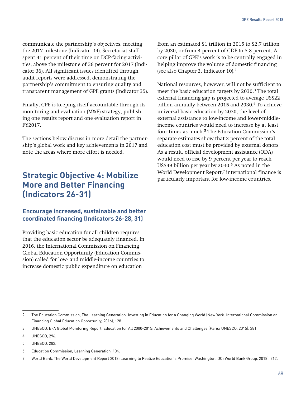communicate the partnership's objectives, meeting the 2017 milestone (Indicator 34). Secretariat staff spent 41 percent of their time on DCP-facing activities, above the milestone of 36 percent for 2017 (Indicator 36). All significant issues identified through audit reports were addressed, demonstrating the partnership's commitment to ensuring quality and transparent management of GPE grants (Indicator 35).

Finally, GPE is keeping itself accountable through its monitoring and evaluation (M&E) strategy, publishing one results report and one evaluation report in FY2017.

The sections below discuss in more detail the partnership's global work and key achievements in 2017 and note the areas where more effort is needed.

## **Strategic Objective 4: Mobilize More and Better Financing (Indicators 26-31)**

#### **Encourage increased, sustainable and better coordinated financing (Indicators 26-28, 31)**

Providing basic education for all children requires that the education sector be adequately financed. In 2016, the International Commission on Financing Global Education Opportunity (Education Commission) called for low- and middle-income countries to increase domestic public expenditure on education

from an estimated \$1 trillion in 2015 to \$2.7 trillion by 2030, or from 4 percent of GDP to 5.8 percent. A core pillar of GPE's work is to be centrally engaged in helping improve the volume of domestic financing (see also Chapter 2, Indicator 10).2

National resources, however, will not be sufficient to meet the basic education targets by 2030.3 The total external financing gap is projected to average US\$22 billion annually between 2015 and 2030.4 To achieve universal basic education by 2030, the level of external assistance to low-income and lower-middleincome countries would need to increase by at least four times as much.<sup>5</sup> The Education Commission's separate estimates show that 3 percent of the total education cost must be provided by external donors. As a result, official development assistance (ODA) would need to rise by 9 percent per year to reach US\$49 billion per year by 2030.6 As noted in the World Development Report,<sup>7</sup> international finance is particularly important for low-income countries.

6 Education Commission, Learning Generation, 104.

<sup>2</sup> The Education Commission, The Learning Generation: Investing in Education for a Changing World (New York: International Commission on Financing Global Education Opportunity, 2016), 128.

<sup>3</sup> UNESCO, EFA Global Monitoring Report, Education for All 2000-2015: Achievements and Challenges (Paris: UNESCO, 2015), 281.

<sup>4</sup> UNESCO, 296.

<sup>5</sup> UNESCO, 282.

<sup>7</sup> World Bank, The World Development Report 2018: Learning to Realize Education's Promise (Washington, DC: World Bank Group, 2018), 212.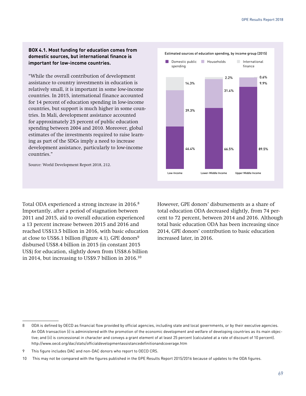#### **BOX 4.1. Most funding for education comes from domestic sources, but international finance is important for low-income countries.**

"While the overall contribution of development assistance to country investments in education is relatively small, it is important in some low-income countries. In 2015, international finance accounted for 14 percent of education spending in low-income countries, but support is much higher in some countries. In Mali, development assistance accounted for approximately 25 percent of public education spending between 2004 and 2010. Moreover, global estimates of the investments required to raise learning as part of the SDGs imply a need to increase development assistance, particularly to low-income countries."

Source: World Development Report 2018, 212.

Total ODA experienced a strong increase in 2016.<sup>8</sup> Importantly, after a period of stagnation between 2011 and 2015, aid to overall education experienced a 13 percent increase between 2015 and 2016 and reached US\$13.5 billion in 2016, with basic education at close to US\$6.1 billion (Figure 4.1). GPE donors<sup>9</sup> disbursed US\$8.4 billion in 2015 (in constant 2015 US\$) for education, slightly down from US\$8.6 billion in 2014, but increasing to US\$9.7 billion in 2016.10

However, GPE donors' disbursements as a share of total education ODA decreased slightly, from 74 percent to 72 percent, between 2014 and 2016. Although total basic education ODA has been increasing since 2014, GPE donors' contribution to basic education increased later, in 2016.



<sup>8</sup> ODA is defined by OECD as financial flow provided by official agencies, including state and local governments, or by their executive agencies. An ODA transaction (i) is administered with the promotion of the economic development and welfare of developing countries as its main objective; and (ii) is concessional in character and conveys a grant element of at least 25 percent (calculated at a rate of discount of 10 percent). http://www.oecd.org/dac/stats/officialdevelopmentassistancedefinitionandcoverage.htm

<sup>9</sup> This figure includes DAC and non-DAC donors who report to OECD CRS.

<sup>10</sup> This may not be compared with the figures published in the GPE Results Report 2015/2016 because of updates to the ODA figures.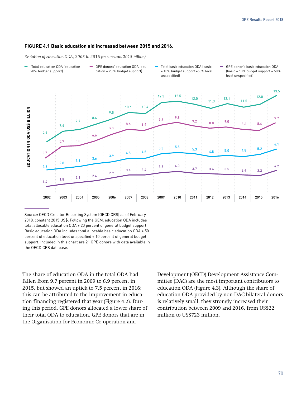#### **FIGURE 4.1 Basic education aid increased between 2015 and 2016.**

*Evolution of education ODA, 2005 to 2016 (in constant 2015 billion)* 

- − Total education ODA (education + 20% budget support)
- − GPE donors' education ODA (education + 20 % budget support)
- − Total basic education ODA (basic + 10% budget support +50% level unspecified)
- − GPE donor's basic education ODA (basic + 10% budget support + 50% level unspecified)



Source: OECD Creditor Reporting System (OECD CRS) as of February 2018, constant 2015 US\$. Following the GEM, education ODA includes total allocable education ODA + 20 percent of general budget support. Basic education ODA includes total allocable basic education ODA + 50 percent of education level unspecified + 10 percent of general budget support. Included in this chart are 21 GPE donors with data available in the OECD CRS database.

The share of education ODA in the total ODA had fallen from 9.7 percent in 2009 to 6.9 percent in 2015, but showed an uptick to 7.5 percent in 2016; this can be attributed to the improvement in education financing registered that year (Figure 4.2). During this period, GPE donors allocated a lower share of their total ODA to education. GPE donors that are in the Organisation for Economic Co-operation and

Development (OECD) Development Assistance Committee (DAC) are the most important contributors to education ODA (Figure 4.3). Although the share of education ODA provided by non-DAC bilateral donors is relatively small, they strongly increased their contribution between 2009 and 2016, from US\$22 million to US\$723 million.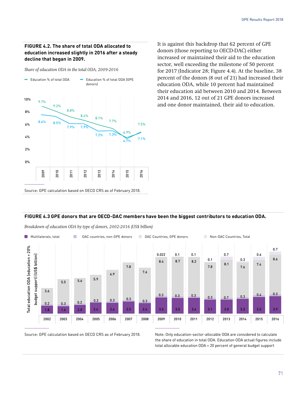#### **FIGURE 4.2. The share of total ODA allocated to education increased slightly in 2016 after a steady decline that began in 2009.**

*Share of education ODA in the total ODA, 2009-2016*



It is against this backdrop that 62 percent of GPE donors (those reporting to OECD-DAC) either increased or maintained their aid to the education sector, well exceeding the milestone of 50 percent for 2017 (Indicator 28; Figure 4.4). At the baseline, 38 percent of the donors (8 out of 21) had increased their education ODA, while 10 percent had maintained their education aid between 2010 and 2014. Between 2014 and 2016, 12 out of 21 GPE donors increased and one donor maintained, their aid to education.

#### **FIGURE 4.3 GPE donors that are OECD-DAC members have been the biggest contributors to education ODA.**

*Breakdown of education ODA by type of donors, 2002-2016 (US\$ billion)*



Source: GPE calculation based on OECD CRS as of February 2018. Note: Only education-sector-allocable ODA are considered to calculate the share of education in total ODA. Education ODA actual figures include total allocable education ODA + 20 percent of general budget support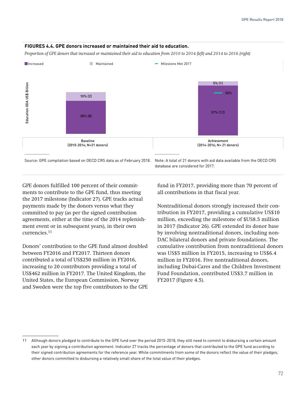

#### **FIGURES 4.4. GPE donors increased or maintained their aid to education.**

*Proportion of GPE donors that increased or maintained their aid to education from 2010 to 2014 (left) and 2014 to 2016 (right)*

database are considered for 2017.

GPE donors fulfilled 100 percent of their commitments to contribute to the GPE fund, thus meeting the 2017 milestone (Indicator 27). GPE tracks actual payments made by the donors versus what they committed to pay (as per the signed contribution agreements, either at the time of the 2014 replenishment event or in subsequent years), in their own currencies.11

Donors' contribution to the GPE fund almost doubled between FY2016 and FY2017. Thirteen donors contributed a total of US\$250 million in FY2016, increasing to 20 contributors providing a total of US\$462 million in FY2017. The United Kingdom, the United States, the European Commission, Norway and Sweden were the top five contributors to the GPE fund in FY2017, providing more than 70 percent of all contributions in that fiscal year.

Nontraditional donors strongly increased their contribution in FY2017, providing a cumulative US\$10 million, exceeding the milestone of \$US8.5 million in 2017 (Indicator 26). GPE extended its donor base by involving nontraditional donors, including non-DAC bilateral donors and private foundations. The cumulative contribution from nontraditional donors was US\$5 million in FY2015, increasing to US\$6.4 million in FY2016. Five nontraditional donors, including Dubai-Cares and the Children Investment Fund Foundation, contributed US\$3.7 million in FY2017 (Figure 4.5).

<sup>11</sup> Although donors pledged to contribute to the GPE fund over the period 2015-2018, they still need to commit to disbursing a certain amount each year by signing a contribution agreement. Indicator 27 tracks the percentage of donors that contributed to the GPE fund according to their signed contribution agreements for the reference year. While commitments from some of the donors reflect the value of their pledges, other donors committed to disbursing a relatively small share of the total value of their pledges.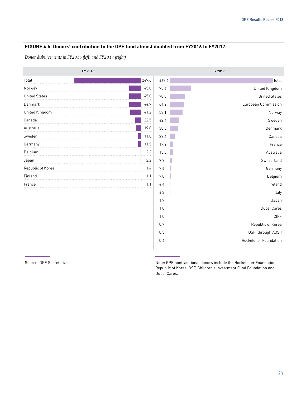#### **FIGURE 4.5. Donors' contribution to the GPE fund almost doubled from FY2016 to FY2017.**

*Donor disbursements in FY2016 (left) and FY2017 (right)*

|                      | FY 2016 |       | FY 2017 |
|----------------------|---------|-------|---------|
| Total                | 249.6   | 462.4 |         |
| Norway               | 45.0    | 95.6  |         |
| <b>United States</b> | 45.0    | 70.0  |         |
| Denmark              | 44.9    | 64.2  |         |
| United Kingdom       | 41.2    | 58.1  |         |
| Canada               | 22.5    | 42.4  |         |
| Australia            | 19.8    | 38.5  |         |
| Sweden               | 11.8    | 22.4  |         |
| Germany              | 11.5    | 17.2  |         |
| Belgium              | 2.2     | 15.3  |         |
| Japan                | 2.2     | 9.9   |         |
| Republic of Korea    | 1.4     | 7.6   |         |
| Finland              | 1.1     | 7.0   |         |
| France               | 1.1     | 4.4   |         |
|                      |         |       |         |

| FY 2017                |       |  |  |
|------------------------|-------|--|--|
| Total                  | 462.4 |  |  |
| United Kingdom         | 95.6  |  |  |
| <b>United States</b>   | 70.0  |  |  |
| European Commission    | 64.2  |  |  |
| Norway                 | 58.1  |  |  |
| Sweden                 | 42.4  |  |  |
| Denmark                | 38.5  |  |  |
| Canada                 | 22.4  |  |  |
| France                 | 17.2  |  |  |
| Australia              | 15.3  |  |  |
| Switzerland            | 9.9   |  |  |
| Germany                | 7.6   |  |  |
| Belgium                | 7.0   |  |  |
| Ireland                | 4.4   |  |  |
| Italy                  | 4.3   |  |  |
| Japan                  | 1.9   |  |  |
| Dubai Cares            | 1.0   |  |  |
| <b>CIFF</b>            | 1.0   |  |  |
| Republic of Korea      | 0.7   |  |  |
| OSF (through AOSI)     | 0.5   |  |  |
| Rockefeller Foundation | 0.4   |  |  |
|                        |       |  |  |

Source: GPE Secretariat. The secretariat of the Note: GPE nontraditional donors include the Rockefeller Foundation, Republic of Korea, OSF, Children's Investment Fund Foundation and Dubai Cares.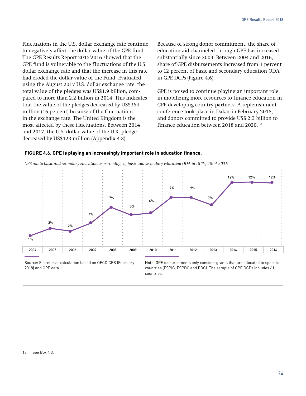Fluctuations in the U.S. dollar exchange rate continue to negatively affect the dollar value of the GPE fund. The GPE Results Report 2015/2016 showed that the GPE fund is vulnerable to the fluctuations of the U.S. dollar exchange rate and that the increase in this rate had eroded the dollar value of the Fund. Evaluated using the August 2017 U.S. dollar exchange rate, the total value of the pledges was US\$1.9 billion, compared to more than 2.2 billion in 2014. This indicates that the value of the pledges decreased by US\$364 million (16 percent) because of the fluctuations in the exchange rate. The United Kingdom is the most affected by these fluctuations. Between 2014 and 2017, the U.S. dollar value of the U.K. pledge decreased by US\$123 million (Appendix 4-3).

Because of strong donor commitment, the share of education aid channeled through GPE has increased substantially since 2004. Between 2004 and 2016, share of GPE disbursements increased from 1 percent to 12 percent of basic and secondary education ODA in GPE DCPs (Figure 4.6).

GPE is poised to continue playing an important role in mobilizing more resources to finance education in GPE developing country partners. A replenishment conference took place in Dakar in February 2018, and donors committed to provide US\$ 2.3 billion to finance education between 2018 and 2020.12





Source: Secretariat calculation based on OECD CRS (February 2018) and GPE data.

Note: GPE disbursements only consider grants that are allocated to specific countries (ESPIG, ESPDG and PDG). The sample of GPE DCPs includes 61 countries.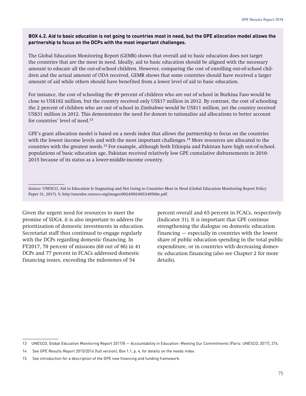#### **BOX 4.2. Aid to basic education is not going to countries most in need, but the GPE allocation model allows the partnership to focus on the DCPs with the most important challenges.**

The Global Education Monitoring Report (GEMR) shows that overall aid to basic education does not target the countries that are the most in need. Ideally, aid to basic education should be aligned with the necessary amount to educate all the out-of-school children. However, comparing the cost of enrolling out-of-school children and the actual amount of ODA received, GEMR shows that some countries should have received a larger amount of aid while others should have benefited from a lower level of aid to basic education.

For instance, the cost of schooling the 49 percent of children who are out of school in Burkina Faso would be close to US\$182 million, but the country received only US\$17 million in 2012. By contrast, the cost of schooling the 2 percent of children who are out of school in Zimbabwe would be US\$11 million, yet the country received US\$31 million in 2012. This demonstrates the need for donors to rationalize aid allocations to better account for countries' level of need.<sup>13</sup>

GPE's grant allocation model is based on a needs index that allows the partnership to focus on the countries with the lowest income levels and with the most important challenges.<sup>14</sup> More resources are allocated to the countries with the greatest needs.15 For example, although both Ethiopia and Pakistan have high out-of-school. populations of basic education age, Pakistan received relatively low GPE cumulative disbursements in 2010- 2015 because of its status as a lower-middle-income country.

Source: UNESCO, Aid to Education Is Stagnating and Not Going to Countries Most in Need (Global Education Monitoring Report Policy Paper 31, 2017), 5; http://unesdoc.unesco.org/images/0024/002495/249568e.pdf.

Given the urgent need for resources to meet the promise of SDG4, it is also important to address the prioritization of domestic investments in education. Secretariat staff thus continued to engage regularly with the DCPs regarding domestic financing. In FY2017, 70 percent of missions (60 out of 86) in 41 DCPs and 77 percent in FCACs addressed domestic financing issues, exceeding the milestones of 54

percent overall and 65 percent in FCACs, respectively (Indicator 31). It is important that GPE continue strengthening the dialogue on domestic education financing — especially in countries with the lowest share of public education spending in the total public expenditure, or in countries with decreasing domestic education financing (also see Chapter 2 for more details).

<sup>13</sup> UNESCO, Global Education Monitoring Report 2017/8 — Accountability in Education: Meeting Our Commitments (Paris: UNESCO, 2017), 274.

<sup>14</sup> See GPE Results Report 2015/2016 (full version), Box 1.1, p. 4, for details on the needs index.

<sup>15</sup> See introduction for a description of the GPE new financing and funding framework.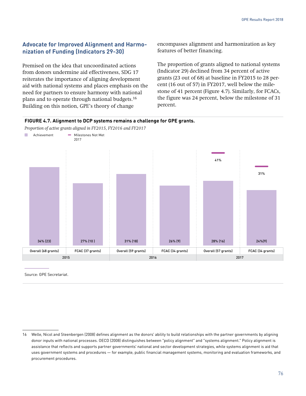31%

24%(9)

#### **Advocate for Improved Alignment and Harmonization of Funding (Indicators 29-30)**

Premised on the idea that uncoordinated actions from donors undermine aid effectiveness, SDG 17 reiterates the importance of aligning development aid with national systems and places emphasis on the need for partners to ensure harmony with national plans and to operate through national budgets.16 Building on this notion, GPE's theory of change

encompasses alignment and harmonization as key features of better financing.

The proportion of grants aligned to national systems (Indicator 29) declined from 34 percent of active grants (23 out of 68) at baseline in FY2015 to 28 percent (16 out of 57) in FY2017, well below the milestone of 41 percent (Figure 4.7). Similarly, for FCACs, the figure was 24 percent, below the milestone of 31 percent.

28% (16)



**FIGURE 4.7. Alignment to DCP systems remains a challenge for GPE grants.**

34% (23) 27% (10 ) 31% (18) 26% (9)

*Proportion of active grants aligned in FY2015, FY2016 and FY2017* 

Source: GPE Secretariat.

Overall (68 grants) FCAC (37 grants) Overall (59 grants) FCAC (34 grants) Overall (57 grants) FCAC (34 grants) 2015 2016 2017

<sup>16</sup> Welle, Nicol and Steenbergen (2008) defines alignment as the donors' ability to build relationships with the partner governments by aligning donor inputs with national processes. OECD (2008) distinguishes between "policy alignment" and "systems alignment." Policy alignment is assistance that reflects and supports partner governments' national and sector development strategies, while systems alignment is aid that uses government systems and procedures — for example, public financial management systems, monitoring and evaluation frameworks, and procurement procedures.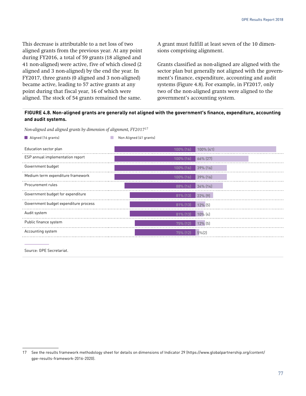This decrease is attributable to a net loss of two aligned grants from the previous year. At any point during FY2016, a total of 59 grants (18 aligned and 41 non-aligned) were active, five of which closed (2 aligned and 3 non-aligned) by the end the year. In FY2017, three grants (0 aligned and 3 non-aligned) became active, leading to 57 active grants at any point during that fiscal year, 16 of which were aligned. The stock of 54 grants remained the same.

A grant must fulfill at least seven of the 10 dimensions comprising alignment.

Grants classified as non-aligned are aligned with the sector plan but generally not aligned with the government's finance, expenditure, accounting and audit systems (Figure 4.8). For example, in FY2017, only two of the non-aligned grants were aligned to the government's accounting system.

#### **FIGURE 4.8. Non-aligned grants are generally not aligned with the government's finance, expenditure, accounting and audit systems.**

*Non-aligned and aligned grants by dimension of alignment, FY201717*

**Aligned (16 grants) Non Aligned (41 grants) Non Aligned (41 grants)** 

| Education sector plan                 | $100\%$ (16)        | $100\%$ (41) |
|---------------------------------------|---------------------|--------------|
| ESP annual implementation report      | $100\%$ (16)        | $66\%$ (27)  |
| Government budget                     | $100\%$ (16)        | 39% [16]     |
| Medium term expenditure framework     | $100\%$ (16)        | $39%$ (16)   |
| Procurement rules                     | $88\%$ (14)         | $34\%$ (14)  |
| Government budget for expenditure     | $81\%$ (13)         | $22%$ [9]    |
| Government budget expenditure process | $81\%$ (13)         | $12\%$ (5)   |
| Audit system                          | $81\%$ (13) 10% (4) |              |
| Public finance system                 | $75%$ (12)          | $12\%$ (5)   |
| Accounting system                     | 75% (12)            | $5\%$ (2)    |

Source: GPE Secretariat.

<sup>17</sup> See the results framework methodology sheet for details on dimensions of Indicator 29 (https://www.globalpartnership.org/content/ gpe-results-framework-2016-2020).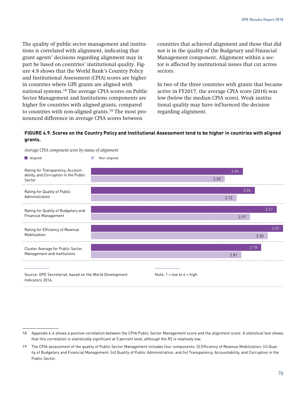The quality of public sector management and institutions is correlated with alignment, indicating that grant agents' decisions regarding alignment may in part be based on countries' institutional quality. Figure 4.9 shows that the World Bank's Country Policy and Institutional Assessment (CPIA) scores are higher in countries where GPE grants are aligned with national systems.18 The average CPIA scores on Public Sector Management and Institutions components are higher for countries with aligned grants, compared to countries with non-aligned grants.19 The most pronounced difference in average CPIA scores between

countries that achieved alignment and those that did not is in the quality of the Budgetary and Financial Management component. Alignment within a sector is affected by institutional issues that cut across sectors.

In two of the three countries with grants that became active in FY2017, the average CPIA score (2016) was low (below the median CPIA score). Weak institutional quality may have influenced the decision regarding alignment.

#### **FIGURE 4.9. Scores on the Country Policy and Institutional Assessment tend to be higher in countries with aligned grants.**

*Average CPIA component score by status of alignment*



Source: GPE Secretariat, based on the World Development Indicators 2016.

<sup>18</sup> Appendix 4-4 shows a positive correlation between the CPIA Public Sector Management score and the alignment score. A statistical test shows that this correlation is statistically significant at 5 percent level, although the R2 is relatively low.

<sup>19</sup> The CPIA assessment of the quality of Public Sector Management includes four components: (i) Efficiency of Revenue Mobilization; (ii) Quality of Budgetary and Financial Management; (iii) Quality of Public Administration; and (iv) Transparency, Accountability, and Corruption in the Public Sector.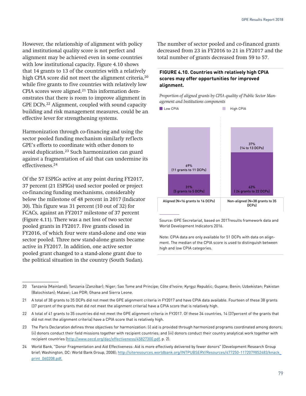However, the relationship of alignment with policy and institutional quality score is not perfect and alignment may be achieved even in some countries with low institutional capacity. Figure 4.10 shows that 14 grants to 13 of the countries with a relatively high CPIA score did not meet the alignment criteria,<sup>20</sup> while five grants to five countries with relatively low CPIA scores were aligned. $21$  This information demonstrates that there is room to improve alignment in GPE DCPs.22 Alignment, coupled with sound capacity building and risk management measures, could be an effective lever for strengthening systems.

Harmonization through co-financing and using the sector pooled funding mechanism similarly reflects GPE's efforts to coordinate with other donors to avoid duplication.23 Such harmonization can guard against a fragmentation of aid that can undermine its effectiveness.24

Of the 57 ESPIGs active at any point during FY2017, 37 percent (21 ESPIGs) used sector pooled or project co-financing funding mechanisms, considerably below the milestone of 48 percent in 2017 (Indicator 30). This figure was 31 percent (10 out of 32) for FCACs, against an FY2017 milestone of 37 percent (Figure 4.11). There was a net loss of two sector pooled grants in FY2017. Five grants closed in FY2016, of which four were stand-alone and one was sector pooled. Three new stand-alone grants became active in FY2017. In addition, one active sector pooled grant changed to a stand-alone grant due to the political situation in the country (South Sudan).

The number of sector pooled and co-financed grants decreased from 23 in FY2016 to 21 in FY2017 and the total number of grants decreased from 59 to 57.

#### **FIGURE 4.10. Countries with relatively high CPIA scores may offer opportunities for improved alignment.**

*Proportion of aligned grants by CPIA quality of Public Sector Management and Institutions components*



Source: GPE Secretariat, based on 2017results framework data and World Development Indicators 2016.

Note: CPIA data are only available for 51 DCPs with data on alignment. The median of the CPIA score is used to distinguish between high and low CPIA categories.

<sup>20</sup> Tanzania (Mainland); Tanzania (Zanzibar); Niger; Sao Tome and Principe; Côte d'Ivoire; Kyrgyz Republic; Guyana; Benin; Uzbekistan; Pakistan (Balochistan); Malawi; Lao PDR; Ghana and Sierra Leone.

<sup>21</sup> A total of 38 grants to 35 DCPs did not meet the GPE alignment criteria in FY2017 and have CPIA data available. Fourteen of these 38 grants (37 percent of the grants that did not meet the alignment criteria) have a CPIA score that is relatively high.

<sup>22</sup> A total of 41 grants to 35 countries did not meet the GPE alignment criteria in FY2017. Of these 34 countries, 14 (37percent of the grants that did not met the alignment criteria) have a CPIA score that is relatively high.

<sup>23</sup> The Paris Declaration defines three objectives for harmonization: (i) aid is provided through harmonized programs coordinated among donors; (ii) donors conduct their field missions together with recipient countries; and (iii) donors conduct their country analytical work together with recipient countries [\(http://www.oecd.org/dac/effectiveness/45827300.pdf,](http://www.oecd.org/dac/effectiveness/45827300.pdf) p. 2).

<sup>24</sup> World Bank, "Donor Fragmentation and Aid Effectiveness: Aid is more effectively delivered by fewer donors" (Development Research Group brief; Washington, DC: World Bank Group, 2008); [http://siteresources.worldbank.org/INTPUBSERV/Resources/477250-1172079852483/knack\\_](http://siteresources.worldbank.org/INTPUBSERV/Resources/477250-1172079852483/knack_print_060208.pdf) [print\\_060208.pdf](http://siteresources.worldbank.org/INTPUBSERV/Resources/477250-1172079852483/knack_print_060208.pdf).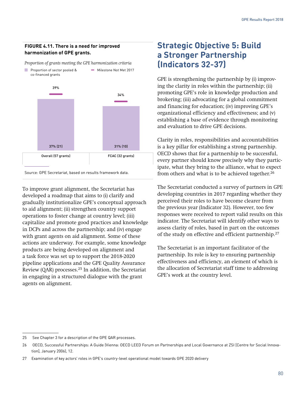#### **FIGURE 4.11. There is a need for improved harmonization of GPE grants.**



*Proportion of grants meeting the GPE harmonization criteria*

Source: GPE Secretariat, based on results framework data.

To improve grant alignment, the Secretariat has developed a roadmap that aims to (i) clarify and gradually institutionalize GPE's conceptual approach to aid alignment; (ii) strengthen country support operations to foster change at country level; (iii) capitalize and promote good practices and knowledge in DCPs and across the partnership; and (iv) engage with grant agents on aid alignment. Some of these actions are underway. For example, some knowledge products are being developed on alignment and a task force was set up to support the 2018-2020 pipeline applications and the GPE Quality Assurance Review (QAR) processes. $25$  In addition, the Secretariat in engaging in a structured dialogue with the grant agents on alignment.

# **Strategic Objective 5: Build a Stronger Partnership (Indicators 32-37)**

GPE is strengthening the partnership by (i) improving the clarity in roles within the partnership; (ii) promoting GPE's role in knowledge production and brokering; (iii) advocating for a global commitment and financing for education; (iv) improving GPE's organizational efficiency and effectiveness; and (v) establishing a base of evidence through monitoring and evaluation to drive GPE decisions.

Clarity in roles, responsibilities and accountabilities is a key pillar for establishing a strong partnership. OECD shows that for a partnership to be successful, every partner should know precisely why they participate, what they bring to the alliance, what to expect from others and what is to be achieved together.<sup>26</sup>

The Secretariat conducted a survey of partners in GPE developing countries in 2017 regarding whether they perceived their roles to have become clearer from the previous year (Indicator 32). However, too few responses were received to report valid results on this indicator. The Secretariat will identify other ways to assess clarity of roles, based in part on the outcomes of the study on effective and efficient partnership.27

The Secretariat is an important facilitator of the partnership. Its role is key to ensuring partnership effectiveness and efficiency, an element of which is the allocation of Secretariat staff time to addressing GPE's work at the country level.

<sup>25</sup> See Chapter 3 for a description of the GPE QAR processes.

<sup>26</sup> OECD, Successful Partnerships: A Guide (Vienna: OECD LEED Forum on Partnerships and Local Governance at ZSI [Centre for Social Innovation], January 2006), 12.

<sup>27</sup> Examination of key actors' roles in GPE's country-level operational model towards GPE 2020 delivery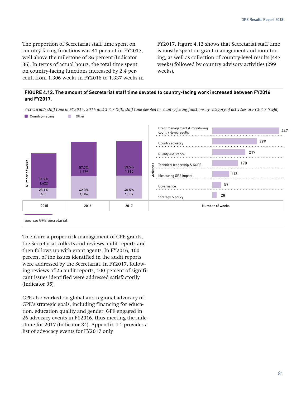The proportion of Secretariat staff time spent on country-facing functions was 41 percent in FY2017, well above the milestone of 36 percent (Indicator 36). In terms of actual hours, the total time spent on country-facing functions increased by 2.4 percent, from 1,306 weeks in FY2016 to 1,337 weeks in FY2017. Figure 4.12 shows that Secretariat staff time is mostly spent on grant management and monitoring, as well as collection of country-level results (447 weeks) followed by country advisory activities (299 weeks).

#### **FIGURE 4.12. The amount of Secretariat staff time devoted to country-facing work increased between FY2016 and FY2017.**

*Secretariat's staff time in FY2015, 2016 and 2017 (left); staff time devoted to country-facing functions by category of activities in FY2017 (right)* 



To ensure a proper risk management of GPE grants, the Secretariat collects and reviews audit reports and then follows up with grant agents. In FY2016, 100 percent of the issues identified in the audit reports were addressed by the Secretariat. In FY2017, following reviews of 25 audit reports, 100 percent of significant issues identified were addressed satisfactorily (Indicator 35).

GPE also worked on global and regional advocacy of GPE's strategic goals, including financing for education, education quality and gender. GPE engaged in 26 advocacy events in FY2016, thus meeting the milestone for 2017 (Indicator 34). Appendix 4-1 provides a list of advocacy events for FY2017 only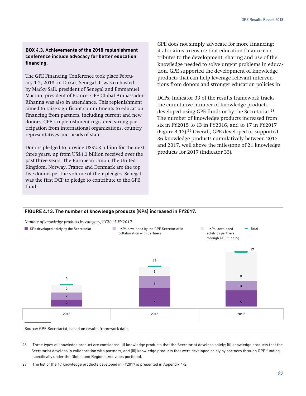#### **BOX 4.3. Achievements of the 2018 replenishment conference include advocacy for better education financing.**

The GPE Financing Conference took place February 1-2, 2018, in Dakar, Senegal. It was co-hosted by Macky Sall, president of Senegal and Emmanuel Macron, president of France. GPE Global Ambassador Rihanna was also in attendance. This replenishment aimed to raise significant commitments to education financing from partners, including current and new donors. GPE's replenishment registered strong participation from international organizations, country representatives and heads of state.

Donors pledged to provide US\$2.3 billion for the next three years, up from US\$1.3 billion received over the past three years. The European Union, the United Kingdom, Norway, France and Denmark are the top five donors per the volume of their pledges. Senegal was the first DCP to pledge to contribute to the GPE fund.

GPE does not simply advocate for more financing; it also aims to ensure that education finance contributes to the development, sharing and use of the knowledge needed to solve urgent problems in education. GPE supported the development of knowledge products that can help leverage relevant interventions from donors and stronger education policies in

DCPs. Indicator 33 of the results framework tracks the cumulative number of knowledge products developed using GPE funds or by the Secretariat.<sup>28</sup> The number of knowledge products increased from six in FY2015 to 13 in FY2016, and to 17 in FY2017 (Figure 4.13).29 Overall, GPE developed or supported 36 knowledge products cumulatively between 2015 and 2017, well above the milestone of 21 knowledge products for 2017 (Indicator 33).

#### **FIGURE 4.13. The number of knowledge products (KPs) increased in FY2017.**

*Number of knowledge products by category, FY2015-FY2017*



Source: GPE Secretariat, based on results framework data.

<sup>28</sup> Three types of knowledge product are considered: (i) knowledge products that the Secretariat develops solely; (ii) knowledge products that the Secretariat develops in collaboration with partners; and (iii) knowledge products that were developed solely by partners through GPE funding (specifically under the Global and Regional Activities portfolio).

<sup>29</sup> The list of the 17 knowledge products developed in FY2017 is presented in Appendix 4-2.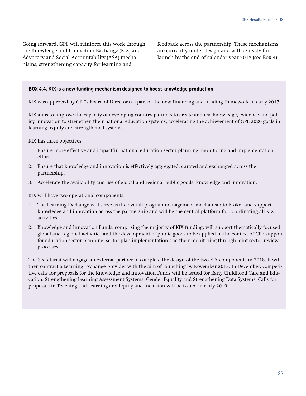Going forward, GPE will reinforce this work through the Knowledge and Innovation Exchange (KIX) and Advocacy and Social Accountability (ASA) mechanisms, strengthening capacity for learning and

feedback across the partnership. These mechanisms are currently under design and will be ready for launch by the end of calendar year 2018 (see Box 4).

#### **BOX 4.4. KIX is a new funding mechanism designed to boost knowledge production.**

KIX was approved by GPE's Board of Directors as part of the new financing and funding framework in early 2017.

KIX aims to improve the capacity of developing country partners to create and use knowledge, evidence and policy innovation to strengthen their national education systems, accelerating the achievement of GPE 2020 goals in learning, equity and strengthened systems.

KIX has three objectives:

- 1. Ensure more effective and impactful national education sector planning, monitoring and implementation efforts.
- 2. Ensure that knowledge and innovation is effectively aggregated, curated and exchanged across the partnership.
- 3. Accelerate the availability and use of global and regional public goods, knowledge and innovation.

KIX will have two operational components:

- 1. The Learning Exchange will serve as the overall program management mechanism to broker and support knowledge and innovation across the partnership and will be the central platform for coordinating all KIX activities.
- 2. Knowledge and Innovation Funds, comprising the majority of KIX funding, will support thematically focused global and regional activities and the development of public goods to be applied in the context of GPE support for education sector planning, sector plan implementation and their monitoring through joint sector review processes.

The Secretariat will engage an external partner to complete the design of the two KIX components in 2018. It will then contract a Learning Exchange provider with the aim of launching by November 2018. In December, competitive calls for proposals for the Knowledge and Innovation Funds will be issued for Early Childhood Care and Education, Strengthening Learning Assessment Systems, Gender Equality and Strengthening Data Systems. Calls for proposals in Teaching and Learning and Equity and Inclusion will be issued in early 2019.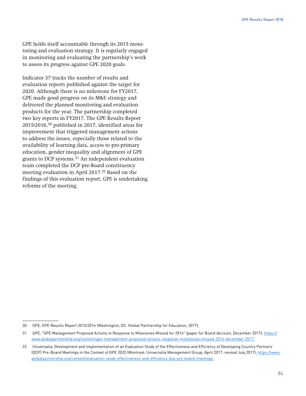GPE holds itself accountable through its 2015 monitoring and evaluation strategy. It is regularly engaged in monitoring and evaluating the partnership's work to assess its progress against GPE 2020 goals.

Indicator 37 tracks the number of results and evaluation reports published against the target for 2020. Although there is no milestone for FY2017, GPE made good progress on its M&E strategy and delivered the planned monitoring and evaluation products for the year. The partnership completed two key reports in FY2017. The GPE Results Report 2015/2016,30 published in 2017, identified areas for improvement that triggered management actions to address the issues, especially those related to the availability of learning data, access to pre-primary education, gender inequality and alignment of GPE grants to DCP systems.31 An independent evaluation team completed the DCP pre-Board constituency meeting evaluation in April 2017.<sup>32</sup> Based on the findings of this evaluation report, GPE is undertaking reforms of the meeting.

<sup>30</sup> GPE, GPE Results Report 2015/2016 (Washington, DC: Global Partnership for Education, 2017).

<sup>31</sup> GPE, "GPE Management Proposed Actions in Response to Milestones Missed for 2016" (paper for Board decision, December 2017); [https://](https://www.globalpartnership.org/content/gpe-management-proposed-actions-response-milestones-missed-2016-december-2017) [www.globalpartnership.org/content/gpe-management-proposed-actions-response-milestones-missed-2016-december-2017.](https://www.globalpartnership.org/content/gpe-management-proposed-actions-response-milestones-missed-2016-december-2017)

<sup>32</sup> Universalia, Development and Implementation of an Evaluation Study of the Effectiveness and Efficiency of Developing Country Partners' (DCP) Pre-Board Meetings in the Context of GPE 2020 (Montreal: Universalia Management Group, April 2017; revised July 2017); [https://www.](https://www.globalpartnership.org/content/evaluation-study-effectiveness-and-efficiency-dcp-pre-board-meetings) [globalpartnership.org/content/evaluation-study-effectiveness-and-efficiency-dcp-pre-board-meetings](https://www.globalpartnership.org/content/evaluation-study-effectiveness-and-efficiency-dcp-pre-board-meetings).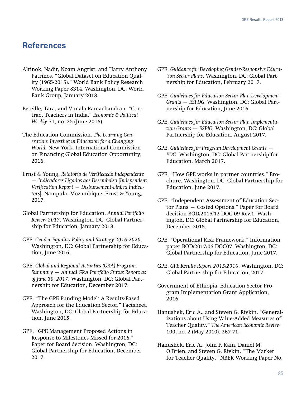### **References**

- Altinok, Nadir, Noam Angrist, and Harry Anthony Patrinos. "Global Dataset on Education Quality (1965-2015)." World Bank Policy Research Working Paper 8314. Washington, DC: World Bank Group, January 2018*.*
- Béteille, Tara, and Vimala Ramachandran. "Contract Teachers in India." *Economic & Political Weekly* 51, no. 25 (June 2016).
- The Education Commission. *The Learning Generation: Investing in Education for a Changing World*. New York: International Commission on Financing Global Education Opportunity, 2016.
- Ernst & Young. *Relatório de Verificação Independente — Indicadores Ligados aos Desembolso* [*Independent Verification Report — Disbursement-Linked Indicators*]. Nampula, Mozambique: Ernst & Young, 2017.
- Global Partnership for Education. *Annual Portfolio Review 2017*. Washington, DC: Global Partnership for Education, January 2018.
- GPE. *Gender Equality Policy and Strategy 2016-2020*. Washington, DC: Global Partnership for Education, June 2016.
- GPE. *Global and Regional Activities (GRA) Program: Summary — Annual GRA Portfolio Status Report as of June 30, 2017*. Washington, DC: Global Partnership for Education, December 2017.
- GPE. "The GPE Funding Model: A Results-Based Approach for the Education Sector." Factsheet. Washington, DC: Global Partnership for Education, June 2015.
- GPE. "GPE Management Proposed Actions in Response to Milestones Missed for 2016." Paper for Board decision. Washington, DC: Global Partnership for Education, December 2017.
- GPE. *Guidance for Developing Gender-Responsive Education Sector Plans*. Washington, DC: Global Partnership for Education, February 2017.
- GPE. *Guidelines for Education Sector Plan Development Grants — ESPDG.* Washington, DC: Global Partnership for Education, June 2016.
- GPE. *Guidelines for Education Sector Plan Implementation Grants — ESPIG.* Washington, DC: Global Partnership for Education, August 2017.
- GPE. *Guidelines for Program Development Grants PDG*. Washington, DC: Global Partnership for Education, March 2017.
- GPE. "How GPE works in partner countries." Brochure. Washington, DC: Global Partnership for Education, June 2017.
- GPE. "Independent Assessment of Education Sector Plans — Costed Options." Paper for Board decision BOD/2015/12 DOC 09 Rev.1. Washington, DC: Global Partnership for Education, December 2015.
- GPE. "Operational Risk Framework." Information paper BOD/2017/06 DOC07. Washington, DC: Global Partnership for Education, June 2017.
- GPE. *GPE Results Report 2015/2016*. Washington, DC: Global Partnership for Education, 2017.
- Government of Ethiopia. Education Sector Program Implementation Grant Application, 2016.
- Hanushek, Eric A., and Steven G. Rivkin. "Generalizations about Using Value-Added Measures of Teacher Quality." *The American Economic Review* 100, no. 2 (May 2010): 267-71.
- Hanushek, Eric A., John F. Kain, Daniel M. O'Brien, and Steven G. Rivkin. "The Market for Teacher Quality." NBER Working Paper No.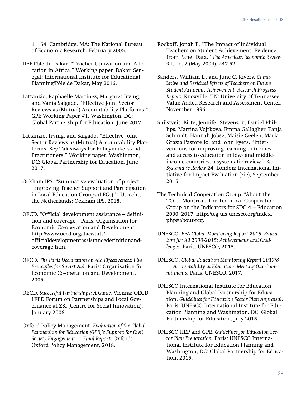11154. Cambridge, MA: The National Bureau of Economic Research, February 2005.

- IIEP-Pôle de Dakar. "Teacher Utilization and Allocation in Africa." Working paper. Dakar, Senegal: International Institute for Educational Planning/Pôle de Dakar, May 2016.
- Lattanzio, Raphaëlle Martínez, Margaret Irving, and Vania Salgado. "Effective Joint Sector Reviews as (Mutual) Accountability Platforms." GPE Working Paper #1. Washington, DC: Global Partnership for Education, June 2017.
- Lattanzio, Irving, and Salgado. "Effective Joint Sector Reviews as (Mutual) Accountability Platforms: Key Takeaways for Policymakers and Practitioners." Working paper. Washington, DC: Global Partnership for Education, June 2017.

Ockham IPS. "Summative evaluation of project 'Improving Teacher Support and Participation in Local Education Groups (LEGs).'" Utrecht, the Netherlands: Ockham IPS, 2018.

- OECD. "Official development assistance definition and coverage." Paris: Organisation for Economic Co-operation and Development. http://www.oecd.org/dac/stats/ officialdevelopmentassistancedefinitionandcoverage.htm.
- OECD. *The Paris Declaration on Aid Effectiveness: Five Principles for Smart Aid*. Paris: Organisation for Economic Co-operation and Development, 2005.
- OECD. *Successful Partnerships: A Guide.* Vienna: OECD LEED Forum on Partnerships and Local Governance at ZSI (Centre for Social Innovation), January 2006.
- Oxford Policy Management. *Evaluation of the Global Partnership for Education (GPE)'s Support for Civil Society Engagement — Final Report*. Oxford: Oxford Policy Management, 2018.
- Rockoff, Jonah E. "The Impact of Individual Teachers on Student Achievement: Evidence from Panel Data." *The American Economic Review* 94, no. 2 (May 2004): 247-52.
- Sanders, William L., and June C. Rivers. *Cumulative and Residual Effects of Teachers on Future Student Academic Achievement: Research Progress Report.* Knoxville, TN: University of Tennessee Value-Added Research and Assessment Center, November 1996.
- Snilstveit, Birte, Jennifer Stevenson, Daniel Phillips, Martina Vojtkova, Emma Gallagher, Tanja Schmidt, Hannah Jobse, Maisie Geelen, Maria Grazia Pastorello, and John Eyers. "Interventions for improving learning outcomes and access to education in low- and middleincome countries: a systematic review." *3ie Systematic Review* 24. London: International Initiative for Impact Evaluation (3ie), September 2015.
- The Technical Cooperation Group. "About the TCG." Montreal: The Technical Cooperation Group on the Indicators for SDG 4 – Education 2030, 2017. http://tcg.uis.unesco.org/index. php#about-tcg.
- UNESCO. *EFA Global Monitoring Report 2015, Education for All 2000-2015: Achievements and Challenges*. Paris: UNESCO, 2015.
- UNESCO. *Global Education Monitoring Report 2017/8 — Accountability in Education: Meeting Our Commitments*. Paris: UNESCO, 2017.
- UNESCO International Institute for Education Planning and Global Partnership for Education. *Guidelines for Education Sector Plan Appraisal*. Paris: UNESCO International Institute for Education Planning and Washington, DC: Global Partnership for Education, July 2015.
- UNESCO IIEP and GPE. *Guidelines for Education Sector Plan Preparation*. Paris: UNESCO International Institute for Education Planning and Washington, DC: Global Partnership for Education, 2015.